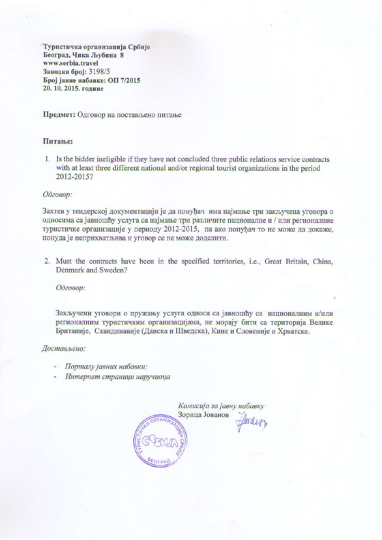Туристичка организација Србије Београд, Чика Љубина 8 www.serbia.travel Заводни број: 3198/5 Број јавне набавке: ОП 7/2015 20. 10. 2015. године

Предмет: Одговор на постављено питање

## Питање:

1. Is the bidder ineligible if they have not concluded three public relations service contracts with at least three different national and/or regional tourist organizations in the period 2012-2015?

## Одговор:

Захтев у тендерској документацији је да понуђач има најмање три закључена уговора о односима са јавношћу услуга са најмање три различите националне и / или регионалние туристичке организације у периоду 2012-2015, па ако понуђач то не може да докаже, понуда је неприхватљива и уговор се не може доделити.

2. Must the contracts have been in the specified territories, i.e., Great Britain, China, Denmark and Sweden?

Одговор:

Закључени уговори о пружању услуга односа са јавношћу са националним и/или регионалним туристичким организацијама, не морају бити са територија Велике Британије, Скандинавије (Данска и Шведска), Кине и Словеније и Хрватске.

Достављено:

- Порталу јавних набавки;
- Интернет страници наручиоца

Комисија за јавну набавку Зорица Јованов